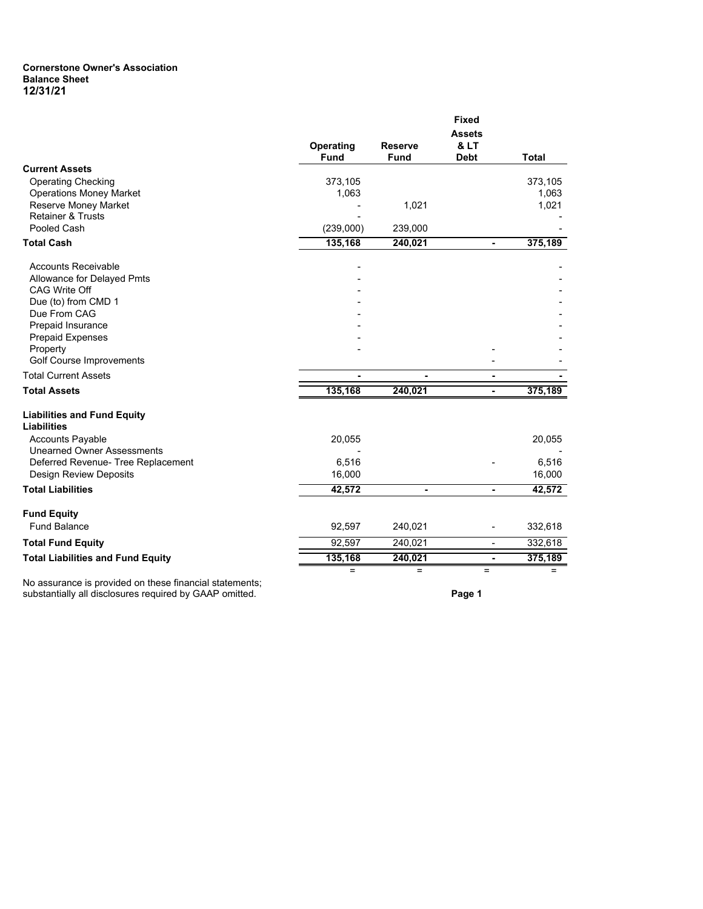## **Cornerstone Owner's Association Balance Sheet 12/31/21**

|                                                          |                          |                               | <b>Fixed</b>                                    |              |
|----------------------------------------------------------|--------------------------|-------------------------------|-------------------------------------------------|--------------|
|                                                          | Operating<br><b>Fund</b> | <b>Reserve</b><br><b>Fund</b> | <b>Assets</b><br><b>&amp; LT</b><br><b>Debt</b> | <b>Total</b> |
| <b>Current Assets</b>                                    |                          |                               |                                                 |              |
| <b>Operating Checking</b>                                | 373,105                  |                               |                                                 | 373,105      |
| <b>Operations Money Market</b>                           | 1,063                    |                               |                                                 | 1,063        |
| Reserve Money Market<br><b>Retainer &amp; Trusts</b>     |                          | 1,021                         |                                                 | 1,021        |
| Pooled Cash                                              | (239,000)                | 239,000                       |                                                 |              |
| <b>Total Cash</b>                                        | 135,168                  | 240,021                       | $\blacksquare$                                  | 375,189      |
|                                                          |                          |                               |                                                 |              |
| <b>Accounts Receivable</b>                               |                          |                               |                                                 |              |
| Allowance for Delayed Pmts                               |                          |                               |                                                 |              |
| <b>CAG Write Off</b>                                     |                          |                               |                                                 |              |
| Due (to) from CMD 1                                      |                          |                               |                                                 |              |
| Due From CAG                                             |                          |                               |                                                 |              |
| <b>Prepaid Insurance</b>                                 |                          |                               |                                                 |              |
| <b>Prepaid Expenses</b>                                  |                          |                               |                                                 |              |
| Property<br>Golf Course Improvements                     |                          |                               |                                                 |              |
|                                                          |                          |                               |                                                 |              |
| <b>Total Current Assets</b>                              |                          | $\blacksquare$                | ٠                                               |              |
| <b>Total Assets</b>                                      | 135,168                  | 240,021                       | ä,                                              | 375,189      |
| <b>Liabilities and Fund Equity</b><br><b>Liabilities</b> |                          |                               |                                                 |              |
| <b>Accounts Payable</b>                                  | 20,055                   |                               |                                                 | 20,055       |
| <b>Unearned Owner Assessments</b>                        |                          |                               |                                                 |              |
| Deferred Revenue- Tree Replacement                       | 6,516                    |                               |                                                 | 6,516        |
| <b>Design Review Deposits</b>                            | 16,000                   |                               |                                                 | 16,000       |
| <b>Total Liabilities</b>                                 | 42,572                   | $\blacksquare$                | ۰                                               | 42,572       |
| <b>Fund Equity</b>                                       |                          |                               |                                                 |              |
| <b>Fund Balance</b>                                      | 92,597                   | 240,021                       |                                                 | 332,618      |
| <b>Total Fund Equity</b>                                 | 92,597                   | 240,021                       | ۰                                               | 332,618      |
| <b>Total Liabilities and Fund Equity</b>                 | 135,168                  | 240,021                       | $\blacksquare$                                  | 375,189      |
|                                                          | $=$                      | $=$                           | $=$                                             | $=$          |
| No assurance is provided on these financial statements;  |                          |                               |                                                 |              |

substantially all disclosures required by GAAP omitted. **Page 1**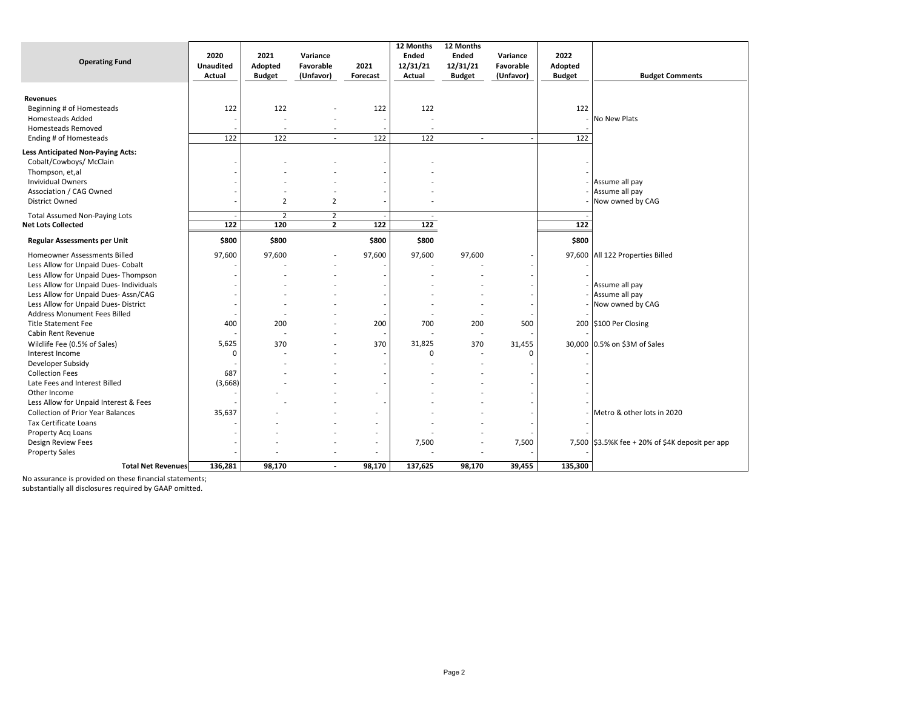| <b>Operating Fund</b>                                                                                                                                                  | 2020<br><b>Unaudited</b><br>Actual | 2021<br>Adopted<br><b>Budget</b>     | Variance<br>Favorable<br>(Unfavor) | 2021<br>Forecast                                            | 12 Months<br><b>Ended</b><br>12/31/21<br>Actual | 12 Months<br><b>Ended</b><br>12/31/21<br><b>Budget</b>      | Variance<br>Favorable<br>(Unfavor) | 2022<br>Adopted<br><b>Budget</b> | <b>Budget Comments</b>                               |
|------------------------------------------------------------------------------------------------------------------------------------------------------------------------|------------------------------------|--------------------------------------|------------------------------------|-------------------------------------------------------------|-------------------------------------------------|-------------------------------------------------------------|------------------------------------|----------------------------------|------------------------------------------------------|
| <b>Revenues</b><br>Beginning # of Homesteads<br><b>Homesteads Added</b><br>Homesteads Removed                                                                          | 122                                | 122<br>$\blacksquare$                |                                    | 122<br>$\overline{\phantom{a}}$                             | 122<br>$\overline{a}$                           |                                                             |                                    | 122                              | <b>No New Plats</b>                                  |
| Ending # of Homesteads                                                                                                                                                 | 122                                | 122                                  | $\overline{\phantom{a}}$           | 122                                                         | 122                                             | $\overline{a}$                                              |                                    | 122                              |                                                      |
| <b>Less Anticipated Non-Paying Acts:</b><br>Cobalt/Cowboys/ McClain<br>Thompson, et,al<br><b>Invividual Owners</b><br>Association / CAG Owned<br><b>District Owned</b> |                                    | 2                                    | 2                                  | $\overline{\phantom{a}}$<br>$\overline{\phantom{0}}$        | $\overline{\phantom{a}}$                        |                                                             |                                    |                                  | Assume all pay<br>Assume all pay<br>Now owned by CAG |
| <b>Total Assumed Non-Paying Lots</b>                                                                                                                                   |                                    | $\overline{2}$                       | $\overline{2}$                     |                                                             | $\overline{\phantom{a}}$                        |                                                             |                                    |                                  |                                                      |
| <b>Net Lots Collected</b>                                                                                                                                              | 122                                | 120                                  | $\overline{2}$                     | 122                                                         | 122                                             |                                                             |                                    | 122                              |                                                      |
| <b>Regular Assessments per Unit</b>                                                                                                                                    | \$800                              | \$800                                |                                    | \$800                                                       | \$800                                           |                                                             |                                    | \$800                            |                                                      |
| Homeowner Assessments Billed<br>Less Allow for Unpaid Dues- Cobalt<br>Less Allow for Unpaid Dues- Thompson                                                             | 97,600                             | 97,600                               |                                    | 97,600                                                      | 97,600                                          | 97,600                                                      |                                    |                                  | 97,600 All 122 Properties Billed                     |
| Less Allow for Unpaid Dues- Individuals<br>Less Allow for Unpaid Dues- Assn/CAG<br>Less Allow for Unpaid Dues- District                                                |                                    |                                      |                                    |                                                             |                                                 | $\overline{\phantom{a}}$                                    |                                    |                                  | Assume all pay<br>Assume all pay<br>Now owned by CAG |
| <b>Address Monument Fees Billed</b><br><b>Title Statement Fee</b><br>Cabin Rent Revenue                                                                                | 400                                | ٠<br>200<br>$\overline{\phantom{a}}$ |                                    | $\overline{\phantom{a}}$<br>200<br>$\overline{\phantom{a}}$ | 700                                             | $\overline{\phantom{a}}$<br>200<br>$\overline{\phantom{a}}$ | 500                                |                                  | 200 \$100 Per Closing                                |
| Wildlife Fee (0.5% of Sales)<br>Interest Income<br>Developer Subsidy                                                                                                   | 5,625<br>$\Omega$                  | 370                                  |                                    | 370<br>$\overline{\phantom{a}}$                             | 31,825<br>$\mathbf 0$                           | 370<br>$\overline{\phantom{a}}$<br>÷                        | 31,455<br>ŋ                        |                                  | 30,000 0.5% on \$3M of Sales                         |
| <b>Collection Fees</b><br>Late Fees and Interest Billed<br>Other Income<br>Less Allow for Unpaid Interest & Fees                                                       | 687<br>(3,668)                     |                                      |                                    | $\overline{\phantom{a}}$<br>٠                               |                                                 |                                                             |                                    |                                  |                                                      |
| <b>Collection of Prior Year Balances</b><br>Tax Certificate Loans                                                                                                      | 35,637                             |                                      |                                    | ÷,                                                          |                                                 |                                                             |                                    |                                  | Metro & other lots in 2020                           |
| Property Acq Loans<br><b>Design Review Fees</b><br><b>Property Sales</b>                                                                                               |                                    |                                      |                                    | $\overline{\phantom{a}}$<br>ä,                              | 7,500                                           | $\qquad \qquad \blacksquare$                                | 7,500                              |                                  | 7,500 \$3.5%K fee + 20% of \$4K deposit per app      |
| <b>Total Net Revenues</b>                                                                                                                                              | 136,281                            | 98,170                               | $\overline{\phantom{a}}$           | 98,170                                                      | 137,625                                         | 98,170                                                      | 39,455                             | 135,300                          |                                                      |

No assurance is provided on these financial statements;

substantially all disclosures required by GAAP omitted.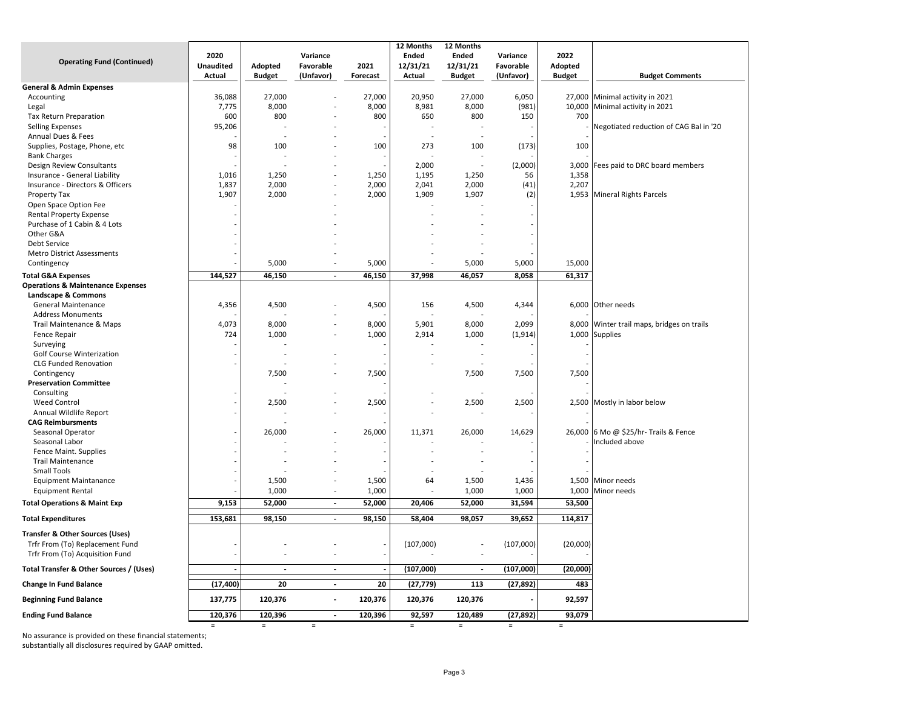|                                              | 2020             |                | Variance                 |          | 12 Months<br>Ended | 12 Months<br>Ended       | Variance  | 2022          |                                            |
|----------------------------------------------|------------------|----------------|--------------------------|----------|--------------------|--------------------------|-----------|---------------|--------------------------------------------|
| <b>Operating Fund (Continued)</b>            | <b>Unaudited</b> | Adopted        | Favorable                | 2021     | 12/31/21           | 12/31/21                 | Favorable | Adopted       |                                            |
|                                              | Actual           | <b>Budget</b>  | (Unfavor)                | Forecast | Actual             | <b>Budget</b>            | (Unfavor) | <b>Budget</b> | <b>Budget Comments</b>                     |
| <b>General &amp; Admin Expenses</b>          |                  |                |                          |          |                    |                          |           |               |                                            |
| Accounting                                   | 36,088           | 27,000         |                          | 27,000   | 20,950             | 27,000                   | 6,050     |               | 27,000 Minimal activity in 2021            |
| Legal                                        | 7,775            | 8,000          |                          | 8,000    | 8,981              | 8,000                    | (981)     |               | 10,000 Minimal activity in 2021            |
| <b>Tax Return Preparation</b>                | 600              | 800            |                          | 800      | 650                | 800                      | 150       | 700           |                                            |
| <b>Selling Expenses</b>                      | 95,206           |                |                          |          |                    |                          |           |               | Negotiated reduction of CAG Bal in '20     |
| Annual Dues & Fees                           |                  |                |                          |          |                    |                          |           |               |                                            |
| Supplies, Postage, Phone, etc                | 98               | 100            |                          | 100      | 273                | 100                      | (173)     | 100           |                                            |
| <b>Bank Charges</b>                          |                  |                |                          |          |                    |                          |           |               |                                            |
| Design Review Consultants                    |                  |                |                          |          | 2,000              |                          | (2,000)   | 3,000         | Fees paid to DRC board members             |
| Insurance - General Liability                | 1,016            | 1,250          |                          | 1,250    | 1,195              | 1,250                    | 56        | 1,358         |                                            |
| Insurance - Directors & Officers             | 1,837            | 2,000          |                          | 2,000    | 2,041              | 2,000                    | (41)      | 2,207         |                                            |
| <b>Property Tax</b>                          | 1,907            | 2,000          |                          | 2,000    | 1,909              | 1,907                    | (2)       |               | 1,953 Mineral Rights Parcels               |
| Open Space Option Fee                        |                  |                |                          |          |                    |                          |           |               |                                            |
| <b>Rental Property Expense</b>               |                  |                |                          |          |                    |                          |           |               |                                            |
| Purchase of 1 Cabin & 4 Lots                 |                  |                |                          |          |                    |                          |           |               |                                            |
| Other G&A                                    |                  |                |                          |          |                    |                          |           |               |                                            |
| Debt Service                                 |                  |                |                          |          |                    |                          |           |               |                                            |
| <b>Metro District Assessments</b>            |                  |                |                          |          |                    |                          |           |               |                                            |
| Contingency                                  |                  | 5,000          |                          | 5,000    | Ĭ.                 | 5,000                    | 5,000     | 15,000        |                                            |
| <b>Total G&amp;A Expenses</b>                | 144,527          | 46,150         | $\blacksquare$           | 46,150   | 37,998             | 46,057                   | 8,058     | 61,317        |                                            |
| <b>Operations &amp; Maintenance Expenses</b> |                  |                |                          |          |                    |                          |           |               |                                            |
| Landscape & Commons                          |                  |                |                          |          |                    |                          |           |               |                                            |
| <b>General Maintenance</b>                   | 4,356            | 4,500          |                          | 4,500    | 156                | 4,500                    | 4,344     |               | 6,000 Other needs                          |
| <b>Address Monuments</b>                     |                  |                |                          |          |                    |                          |           |               |                                            |
| Trail Maintenance & Maps                     | 4,073            | 8,000          |                          | 8,000    | 5,901              | 8,000                    | 2,099     |               | 8,000 Winter trail maps, bridges on trails |
| <b>Fence Repair</b>                          | 724              | 1,000          |                          | 1,000    | 2,914              | 1,000                    | (1, 914)  |               | 1,000 Supplies                             |
| Surveying                                    |                  |                |                          |          |                    |                          |           |               |                                            |
| <b>Golf Course Winterization</b>             |                  |                |                          |          |                    |                          |           |               |                                            |
| <b>CLG Funded Renovation</b>                 |                  |                |                          |          |                    |                          |           |               |                                            |
| Contingency                                  |                  | 7,500          |                          | 7,500    |                    | 7,500                    | 7,500     | 7,500         |                                            |
| <b>Preservation Committee</b>                |                  |                |                          |          |                    |                          |           |               |                                            |
| Consulting                                   |                  |                |                          |          |                    |                          |           |               |                                            |
| <b>Weed Control</b>                          |                  | 2,500          |                          | 2,500    |                    | 2,500                    | 2,500     |               | 2,500 Mostly in labor below                |
| Annual Wildlife Report                       |                  |                |                          |          |                    |                          |           |               |                                            |
| <b>CAG Reimbursments</b>                     |                  |                |                          |          |                    |                          |           |               |                                            |
| Seasonal Operator                            |                  | 26,000         |                          | 26,000   | 11,371             | 26,000                   | 14,629    |               | 26,000 6 Mo @ \$25/hr- Trails & Fence      |
| Seasonal Labor                               |                  |                |                          |          |                    |                          |           |               | Included above                             |
| Fence Maint. Supplies                        |                  |                |                          |          |                    |                          |           |               |                                            |
| <b>Trail Maintenance</b>                     |                  |                |                          |          |                    |                          |           |               |                                            |
| <b>Small Tools</b>                           |                  |                |                          |          |                    |                          |           |               |                                            |
| <b>Equipment Maintanance</b>                 |                  | 1,500          |                          | 1,500    | 64                 | 1,500                    | 1,436     |               | 1,500 Minor needs                          |
| <b>Equipment Rental</b>                      |                  | 1,000          | $\overline{\phantom{a}}$ | 1,000    |                    | 1,000                    | 1,000     | 1,000         | Minor needs                                |
| <b>Total Operations &amp; Maint Exp</b>      | 9,153            | 52,000         | $\overline{\phantom{a}}$ | 52,000   | 20,406             | 52,000                   | 31,594    | 53,500        |                                            |
|                                              |                  |                |                          |          |                    |                          |           |               |                                            |
| <b>Total Expenditures</b>                    | 153,681          | 98,150         | $\overline{\phantom{a}}$ | 98,150   | 58,404             | 98,057                   | 39,652    | 114,817       |                                            |
| Transfer & Other Sources (Uses)              |                  |                |                          |          |                    |                          |           |               |                                            |
| Trfr From (To) Replacement Fund              |                  |                |                          |          | (107,000)          |                          | (107,000) | (20,000)      |                                            |
| Trfr From (To) Acquisition Fund              |                  | Ĭ.             |                          |          |                    |                          |           |               |                                            |
| Total Transfer & Other Sources / (Uses)      |                  | $\overline{a}$ | $\overline{a}$           |          | (107,000)          | $\overline{\phantom{a}}$ | (107,000) | (20,000)      |                                            |
| <b>Change In Fund Balance</b>                | (17, 400)        | 20             | $\overline{a}$           | 20       | (27, 779)          | 113                      | (27, 892) | 483           |                                            |
| <b>Beginning Fund Balance</b>                | 137,775          | 120,376        | $\overline{\phantom{a}}$ | 120,376  | 120,376            | 120,376                  |           | 92,597        |                                            |
| <b>Ending Fund Balance</b>                   | 120,376          | 120,396        | $\overline{a}$           | 120,396  | 92,597             | 120,489                  | (27, 892) | 93,079        |                                            |
|                                              | $\equiv$         | $=$            | $=$                      |          | $=$                | $=$                      | $=$       | $=$           |                                            |

No assurance is provided on these financial statements;

substantially all disclosures required by GAAP omitted.